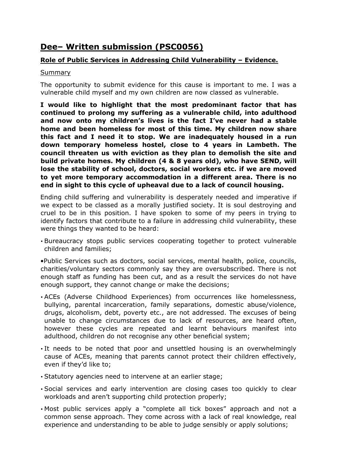# **Dee– Written submission (PSC0056)**

# **Role of Public Services in Addressing Child Vulnerability – Evidence.**

## Summary

The opportunity to submit evidence for this cause is important to me. I was a vulnerable child myself and my own children are now classed as vulnerable.

**I would like to highlight that the most predominant factor that has continued to prolong my suffering as a vulnerable child, into adulthood and now onto my children's lives is the fact I've never had a stable home and been homeless for most of this time. My children now share this fact and I need it to stop. We are inadequately housed in a run down temporary homeless hostel, close to 4 years in Lambeth. The council threaten us with eviction as they plan to demolish the site and build private homes. My children (4 & 8 years old), who have SEND, will lose the stability of school, doctors, social workers etc. if we are moved to yet more temporary accommodation in a different area. There is no end in sight to this cycle of upheaval due to a lack of council housing.**

Ending child suffering and vulnerability is desperately needed and imperative if we expect to be classed as a morally justified society. It is soul destroying and cruel to be in this position. I have spoken to some of my peers in trying to identify factors that contribute to a failure in addressing child vulnerability, these were things they wanted to be heard:

• Bureaucracy stops public services cooperating together to protect vulnerable children and families;

•Public Services such as doctors, social services, mental health, police, councils, charities/voluntary sectors commonly say they are oversubscribed. There is not enough staff as funding has been cut, and as a result the services do not have enough support, they cannot change or make the decisions;

- ACEs (Adverse Childhood Experiences) from occurrences like homelessness, bullying, parental incarceration, family separations, domestic abuse/violence, drugs, alcoholism, debt, poverty etc., are not addressed. The excuses of being unable to change circumstances due to lack of resources, are heard often, however these cycles are repeated and learnt behaviours manifest into adulthood, children do not recognise any other beneficial system;
- It needs to be noted that poor and unsettled housing is an overwhelmingly cause of ACEs, meaning that parents cannot protect their children effectively, even if they'd like to;
- Statutory agencies need to intervene at an earlier stage;
- Social services and early intervention are closing cases too quickly to clear workloads and aren't supporting child protection properly;
- Most public services apply a "complete all tick boxes" approach and not a common sense approach. They come across with a lack of real knowledge, real experience and understanding to be able to judge sensibly or apply solutions;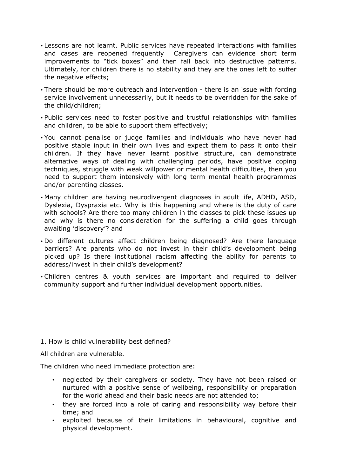- Lessons are not learnt. Public services have repeated interactions with families and cases are reopened frequently Caregivers can evidence short term improvements to "tick boxes" and then fall back into destructive patterns. Ultimately, for children there is no stability and they are the ones left to suffer the negative effects;
- There should be more outreach and intervention there is an issue with forcing service involvement unnecessarily, but it needs to be overridden for the sake of the child/children;
- Public services need to foster positive and trustful relationships with families and children, to be able to support them effectively;
- You cannot penalise or judge families and individuals who have never had positive stable input in their own lives and expect them to pass it onto their children. If they have never learnt positive structure, can demonstrate alternative ways of dealing with challenging periods, have positive coping techniques, struggle with weak willpower or mental health difficulties, then you need to support them intensively with long term mental health programmes and/or parenting classes.
- Many children are having neurodivergent diagnoses in adult life, ADHD, ASD, Dyslexia, Dyspraxia etc. Why is this happening and where is the duty of care with schools? Are there too many children in the classes to pick these issues up and why is there no consideration for the suffering a child goes through awaiting 'discovery'? and
- Do different cultures affect children being diagnosed? Are there language barriers? Are parents who do not invest in their child's development being picked up? Is there institutional racism affecting the ability for parents to address/invest in their child's development?
- Children centres & youth services are important and required to deliver community support and further individual development opportunities.

### 1. How is child vulnerability best defined?

All children are vulnerable.

The children who need immediate protection are:

- neglected by their caregivers or society. They have not been raised or nurtured with a positive sense of wellbeing, responsibility or preparation for the world ahead and their basic needs are not attended to;
- they are forced into a role of caring and responsibility way before their time; and
- exploited because of their limitations in behavioural, cognitive and physical development.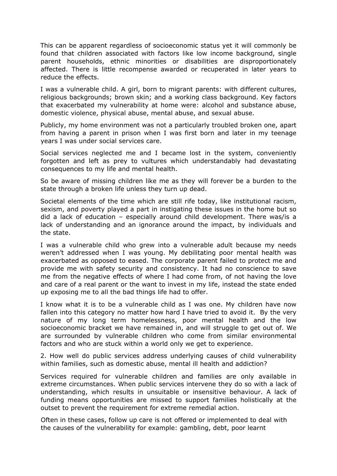This can be apparent regardless of socioeconomic status yet it will commonly be found that children associated with factors like low income background, single parent households, ethnic minorities or disabilities are disproportionately affected. There is little recompense awarded or recuperated in later years to reduce the effects.

I was a vulnerable child. A girl, born to migrant parents: with different cultures, religious backgrounds; brown skin; and a working class background. Key factors that exacerbated my vulnerability at home were: alcohol and substance abuse, domestic violence, physical abuse, mental abuse, and sexual abuse.

Publicly, my home environment was not a particularly troubled broken one, apart from having a parent in prison when I was first born and later in my teenage years I was under social services care.

Social services neglected me and I became lost in the system, conveniently forgotten and left as prey to vultures which understandably had devastating consequences to my life and mental health.

So be aware of missing children like me as they will forever be a burden to the state through a broken life unless they turn up dead.

Societal elements of the time which are still rife today, like institutional racism, sexism, and poverty played a part in instigating these issues in the home but so did a lack of education – especially around child development. There was/is a lack of understanding and an ignorance around the impact, by individuals and the state.

I was a vulnerable child who grew into a vulnerable adult because my needs weren't addressed when I was young. My debilitating poor mental health was exacerbated as opposed to eased. The corporate parent failed to protect me and provide me with safety security and consistency. It had no conscience to save me from the negative effects of where I had come from, of not having the love and care of a real parent or the want to invest in my life, instead the state ended up exposing me to all the bad things life had to offer.

I know what it is to be a vulnerable child as I was one. My children have now fallen into this category no matter how hard I have tried to avoid it. By the very nature of my long term homelessness, poor mental health and the low socioeconomic bracket we have remained in, and will struggle to get out of. We are surrounded by vulnerable children who come from similar environmental factors and who are stuck within a world only we get to experience.

2. How well do public services address underlying causes of child vulnerability within families, such as domestic abuse, mental ill health and addiction?

Services required for vulnerable children and families are only available in extreme circumstances. When public services intervene they do so with a lack of understanding, which results in unsuitable or insensitive behaviour. A lack of funding means opportunities are missed to support families holistically at the outset to prevent the requirement for extreme remedial action.

Often in these cases, follow up care is not offered or implemented to deal with the causes of the vulnerability for example: gambling, debt, poor learnt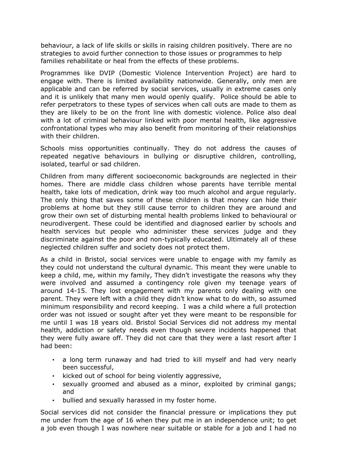behaviour, a lack of life skills or skills in raising children positively. There are no strategies to avoid further connection to those issues or programmes to help families rehabilitate or heal from the effects of these problems.

Programmes like DVIP (Domestic Violence Intervention Project) are hard to engage with. There is limited availability nationwide. Generally, only men are applicable and can be referred by social services, usually in extreme cases only and it is unlikely that many men would openly qualify. Police should be able to refer perpetrators to these types of services when call outs are made to them as they are likely to be on the front line with domestic violence. Police also deal with a lot of criminal behaviour linked with poor mental health, like aggressive confrontational types who may also benefit from monitoring of their relationships with their children.

Schools miss opportunities continually. They do not address the causes of repeated negative behaviours in bullying or disruptive children, controlling, isolated, tearful or sad children.

Children from many different socioeconomic backgrounds are neglected in their homes. There are middle class children whose parents have terrible mental health, take lots of medication, drink way too much alcohol and argue regularly. The only thing that saves some of these children is that money can hide their problems at home but they still cause terror to children they are around and grow their own set of disturbing mental health problems linked to behavioural or neurodivergent. These could be identified and diagnosed earlier by schools and health services but people who administer these services judge and they discriminate against the poor and non-typically educated. Ultimately all of these neglected children suffer and society does not protect them.

As a child in Bristol, social services were unable to engage with my family as they could not understand the cultural dynamic. This meant they were unable to keep a child, me, within my family, They didn't investigate the reasons why they were involved and assumed a contingency role given my teenage years of around 14-15. They lost engagement with my parents only dealing with one parent. They were left with a child they didn't know what to do with, so assumed minimum responsibility and record keeping. I was a child where a full protection order was not issued or sought after yet they were meant to be responsible for me until I was 18 years old. Bristol Social Services did not address my mental health, addiction or safety needs even though severe incidents happened that they were fully aware off. They did not care that they were a last resort after I had been:

- a long term runaway and had tried to kill myself and had very nearly been successful,
- kicked out of school for being violently aggressive,
- sexually groomed and abused as a minor, exploited by criminal gangs; and
- bullied and sexually harassed in my foster home.

Social services did not consider the financial pressure or implications they put me under from the age of 16 when they put me in an independence unit; to get a job even though I was nowhere near suitable or stable for a job and I had no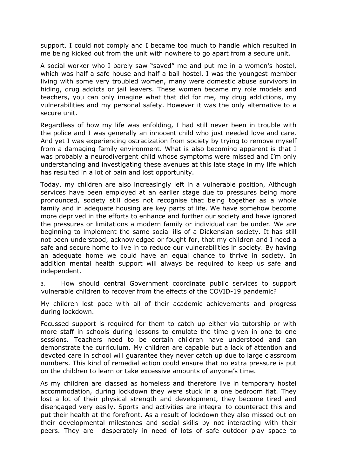support. I could not comply and I became too much to handle which resulted in me being kicked out from the unit with nowhere to go apart from a secure unit.

A social worker who I barely saw "saved" me and put me in a women's hostel, which was half a safe house and half a bail hostel. I was the youngest member living with some very troubled women, many were domestic abuse survivors in hiding, drug addicts or jail leavers. These women became my role models and teachers, you can only imagine what that did for me, my drug addictions, my vulnerabilities and my personal safety. However it was the only alternative to a secure unit.

Regardless of how my life was enfolding, I had still never been in trouble with the police and I was generally an innocent child who just needed love and care. And yet I was experiencing ostracization from society by trying to remove myself from a damaging family environment. What is also becoming apparent is that I was probably a neurodivergent child whose symptoms were missed and I'm only understanding and investigating these avenues at this late stage in my life which has resulted in a lot of pain and lost opportunity.

Today, my children are also increasingly left in a vulnerable position, Although services have been employed at an earlier stage due to pressures being more pronounced, society still does not recognise that being together as a whole family and in adequate housing are key parts of life. We have somehow become more deprived in the efforts to enhance and further our society and have ignored the pressures or limitations a modern family or individual can be under. We are beginning to implement the same social ills of a Dickensian society. It has still not been understood, acknowledged or fought for, that my children and I need a safe and secure home to live in to reduce our vulnerabilities in society. By having an adequate home we could have an equal chance to thrive in society. In addition mental health support will always be required to keep us safe and independent.

3. How should central Government coordinate public services to support vulnerable children to recover from the effects of the COVID-19 pandemic?

My children lost pace with all of their academic achievements and progress during lockdown.

Focussed support is required for them to catch up either via tutorship or with more staff in schools during lessons to emulate the time given in one to one sessions. Teachers need to be certain children have understood and can demonstrate the curriculum. My children are capable but a lack of attention and devoted care in school will guarantee they never catch up due to large classroom numbers. This kind of remedial action could ensure that no extra pressure is put on the children to learn or take excessive amounts of anyone's time.

As my children are classed as homeless and therefore live in temporary hostel accommodation, during lockdown they were stuck in a one bedroom flat. They lost a lot of their physical strength and development, they become tired and disengaged very easily. Sports and activities are integral to counteract this and put their health at the forefront. As a result of lockdown they also missed out on their developmental milestones and social skills by not interacting with their peers. They are desperately in need of lots of safe outdoor play space to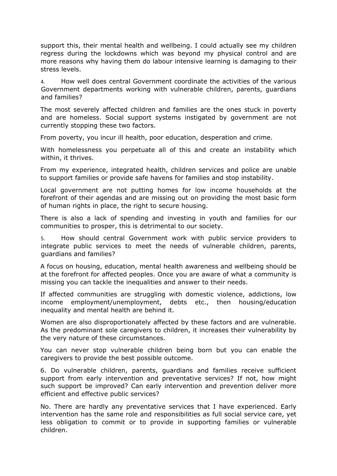support this, their mental health and wellbeing. I could actually see my children regress during the lockdowns which was beyond my physical control and are more reasons why having them do labour intensive learning is damaging to their stress levels.

4. How well does central Government coordinate the activities of the various Government departments working with vulnerable children, parents, guardians and families?

The most severely affected children and families are the ones stuck in poverty and are homeless. Social support systems instigated by government are not currently stopping these two factors.

From poverty, you incur ill health, poor education, desperation and crime.

With homelessness you perpetuate all of this and create an instability which within, it thrives.

From my experience, integrated health, children services and police are unable to support families or provide safe havens for families and stop instability.

Local government are not putting homes for low income households at the forefront of their agendas and are missing out on providing the most basic form of human rights in place, the right to secure housing.

There is also a lack of spending and investing in youth and families for our communities to prosper, this is detrimental to our society.

5. How should central Government work with public service providers to integrate public services to meet the needs of vulnerable children, parents, guardians and families?

A focus on housing, education, mental health awareness and wellbeing should be at the forefront for affected peoples. Once you are aware of what a community is missing you can tackle the inequalities and answer to their needs.

If affected communities are struggling with domestic violence, addictions, low income employment/unemployment, debts etc., then housing/education inequality and mental health are behind it.

Women are also disproportionately affected by these factors and are vulnerable. As the predominant sole caregivers to children, it increases their vulnerability by the very nature of these circumstances.

You can never stop vulnerable children being born but you can enable the caregivers to provide the best possible outcome.

6. Do vulnerable children, parents, guardians and families receive sufficient support from early intervention and preventative services? If not, how might such support be improved? Can early intervention and prevention deliver more efficient and effective public services?

No. There are hardly any preventative services that I have experienced. Early intervention has the same role and responsibilities as full social service care, yet less obligation to commit or to provide in supporting families or vulnerable children.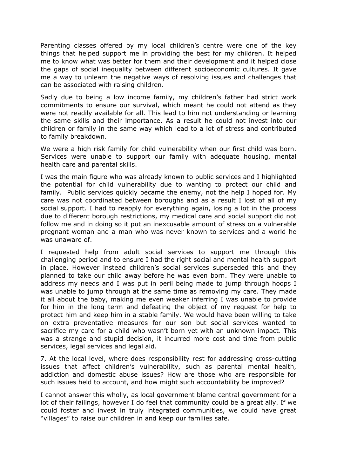Parenting classes offered by my local children's centre were one of the key things that helped support me in providing the best for my children. It helped me to know what was better for them and their development and it helped close the gaps of social inequality between different socioeconomic cultures. It gave me a way to unlearn the negative ways of resolving issues and challenges that can be associated with raising children.

Sadly due to being a low income family, my children's father had strict work commitments to ensure our survival, which meant he could not attend as they were not readily available for all. This lead to him not understanding or learning the same skills and their importance. As a result he could not invest into our children or family in the same way which lead to a lot of stress and contributed to family breakdown.

We were a high risk family for child vulnerability when our first child was born. Services were unable to support our family with adequate housing, mental health care and parental skills.

I was the main figure who was already known to public services and I highlighted the potential for child vulnerability due to wanting to protect our child and family. Public services quickly became the enemy, not the help I hoped for. My care was not coordinated between boroughs and as a result I lost of all of my social support. I had to reapply for everything again, losing a lot in the process due to different borough restrictions, my medical care and social support did not follow me and in doing so it put an inexcusable amount of stress on a vulnerable pregnant woman and a man who was never known to services and a world he was unaware of.

I requested help from adult social services to support me through this challenging period and to ensure I had the right social and mental health support in place. However instead children's social services superseded this and they planned to take our child away before he was even born. They were unable to address my needs and I was put in peril being made to jump through hoops I was unable to jump through at the same time as removing my care. They made it all about the baby, making me even weaker inferring I was unable to provide for him in the long term and defeating the object of my request for help to protect him and keep him in a stable family. We would have been willing to take on extra preventative measures for our son but social services wanted to sacrifice my care for a child who wasn't born yet with an unknown impact. This was a strange and stupid decision, it incurred more cost and time from public services, legal services and legal aid.

7. At the local level, where does responsibility rest for addressing cross-cutting issues that affect children's vulnerability, such as parental mental health, addiction and domestic abuse issues? How are those who are responsible for such issues held to account, and how might such accountability be improved?

I cannot answer this wholly, as local government blame central government for a lot of their failings, however I do feel that community could be a great ally. If we could foster and invest in truly integrated communities, we could have great "villages" to raise our children in and keep our families safe.